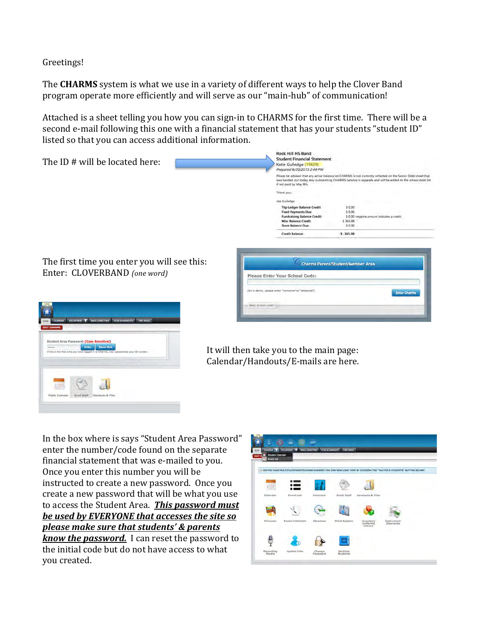Greetings!

The **CHARMS** system is what we use in a variety of different ways to help the Clover Band program operate more efficiently and will serve as our "main-hub" of communication!

Attached is a sheet telling you how you can sign-in to CHARMS for the first time. There will be a second e-mail following this one with a financial statement that has your students "student ID" listed so that you can access additional information.

| The ID # will be located here:                                                   | Rock Hill HS Band<br><b>Student Financial Statement</b><br>Katie Gulledge (10629)<br>Prepared 6/20/2015 2:49 PM<br>Please be advised that any active balance on CHARMS is not currently reflected on the Senior Debt sheet that<br>was handed out today. Any outstanding CHARMS balance is separate and will be added to the school debt list<br>if not paid by May Bth. |
|----------------------------------------------------------------------------------|--------------------------------------------------------------------------------------------------------------------------------------------------------------------------------------------------------------------------------------------------------------------------------------------------------------------------------------------------------------------------|
|                                                                                  | Thank you.<br>Joe Gulledge<br>\$0.00<br><b>Trip Ledger Balance Credit</b><br><b>Fixed Payments Due</b><br>\$ 0.00<br><b>Fundraising Balance Credit</b><br>\$ 0.00 negative amount indicates a credit.                                                                                                                                                                    |
|                                                                                  | Misc Balance Credit<br>\$365.98<br><b>Store Balance Due</b><br>\$ 0.00<br>$$ -365.98$<br><b>Credit Balance</b>                                                                                                                                                                                                                                                           |
| The first time you enter you will see this:                                      | <b>Charms Parent/Student/Member Area</b>                                                                                                                                                                                                                                                                                                                                 |
| Enter: CLOVERBAND (one word)                                                     | Please Enter Your School Code:<br>(for a demo, please enter "comchoir"or "ehsband")<br><b>Enter Charme</b>                                                                                                                                                                                                                                                               |
| CALFINDAR VOLUNTERS V ENALL DIRECTORS FILES & NANDOLTS FIND NUSSE<br><b>HOME</b> | Need School Code? [4]                                                                                                                                                                                                                                                                                                                                                    |





In the box where is says "Student Area Password" enter the number/code found on the separate financial statement that was e-mailed to you. Once you enter this number you will be instructed to create a new password. Once you create a new password that will be what you use to access the Student Area. This password must be used by EVERYONE that accesses the site so **please make sure that students' & parents** *know the password.* I can reset the password to the initial code but do not have access to what you created.

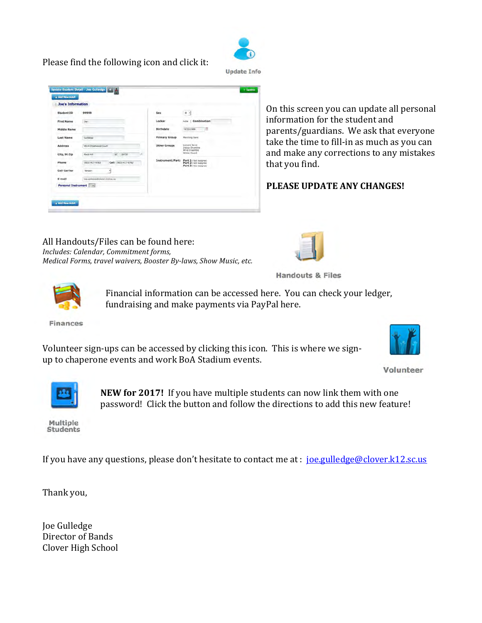



| Joe's Information          |                                       |                      |                                                                      |
|----------------------------|---------------------------------------|----------------------|----------------------------------------------------------------------|
| <b>Student ID</b>          | 99999                                 | Sex                  | $M - 2$                                                              |
| <b>First Name</b>          | <b>Joe</b>                            | Locker               | Combination<br>role                                                  |
| <b>Middle Name</b>         |                                       | Birthdate            | 擅<br>0/23/1960                                                       |
| <b>Last Name</b>           | Guillebbe                             | <b>Primary Group</b> | <b>Harrhird Band</b>                                                 |
| Address                    | 4514 Chestwood Court                  | <b>Other Groups</b>  | Concert Band<br><b>Indoor Drumline</b>                               |
| City, St Zip               | SC 29732<br>Rock Hill                 |                      | Wind Ensemble<br>Winter Guard                                        |
| Phone                      | Cell (803) 417-9782<br>(803) 417-9782 | Instrument/Part:     | Part 1: Not Assigned<br>Part 2: Not Assigned<br>Part 3: No: Assigned |
| Cell Carrier               | Viinizon<br>퇴                         |                      |                                                                      |
| E-mail                     | the milestoed closer kt2 ac.us        |                      |                                                                      |
| Personal Instrument [1999] |                                       |                      |                                                                      |

On this screen you can update all personal information for the student and parents/guardians. We ask that everyone take the time to fill-in as much as you can and make any corrections to any mistakes that you find.

**PLEASE UPDATE ANY CHANGES!** 

All Handouts/Files can be found here: *Includes: Calendar, Commitment forms, Medical Forms, travel waivers, Booster By-laws, Show Music, etc.* 



**Handouts & Files** 



Financial information can be accessed here. You can check your ledger, fundraising and make payments via PayPal here.

**Finances** 

Volunteer sign-ups can be accessed by clicking this icon. This is where we signup to chaperone events and work BoA Stadium events.



Volunteer



**NEW for 2017!** If you have multiple students can now link them with one password! Click the button and follow the directions to add this new feature!

Multiple **Students** 

If you have any questions, please don't hesitate to contact me at : joe.gulledge@clover.k12.sc.us

Thank you,

Joe Gulledge Director of Bands Clover High School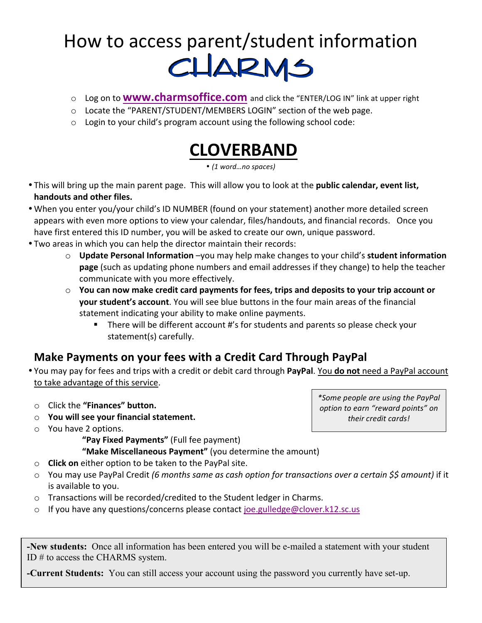# How to access parent/student information<br>
CLARMS

- o Log on to **WWW.charmsoffice.com** and click the "ENTER/LOG IN" link at upper right
- $\circ$  Locate the "PARENT/STUDENT/MEMBERS LOGIN" section of the web page.
- $\circ$  Login to your child's program account using the following school code:

# **CLOVERBAND**

• *(1 word…no spaces)*

- This will bring up the main parent page. This will allow you to look at the **public calendar, event list, handouts and other files.**
- When you enter you/your child's ID NUMBER (found on your statement) another more detailed screen appears with even more options to view your calendar, files/handouts, and financial records. Once you have first entered this ID number, you will be asked to create our own, unique password.
- Two areas in which you can help the director maintain their records:
	- $\circ$  **Update Personal Information** –you may help make changes to your child's **student information page** (such as updating phone numbers and email addresses if they change) to help the teacher communicate with you more effectively.
	- $\circ$  You can now make credit card payments for fees, trips and deposits to your trip account or **your student's account**. You will see blue buttons in the four main areas of the financial statement indicating your ability to make online payments.
		- There will be different account #'s for students and parents so please check your statement(s) carefully.

## **Make Payments on your fees with a Credit Card Through PayPal**

- You may pay for fees and trips with a credit or debit card through PayPal. You do not need a PayPal account to take advantage of this service.
- o Click the **"Finances" button.**
- o **You will see your financial statement.**
- $\circ$  You have 2 options.
	- "Pay Fixed Payments" (Full fee payment)
	- **"Make Miscellaneous Payment"** (you determine the amount)
- o **Click on** either option to be taken to the PayPal site.
- o You may use PayPal Credit (6 months same as cash option for transactions over a certain \$\$ amount) if it is available to you.
- $\circ$  Transactions will be recorded/credited to the Student ledger in Charms.
- $\circ$  If you have any questions/concerns please contact joe.gulledge@clover.k12.sc.us

**-New students:** Once all information has been entered you will be e-mailed a statement with your student ID # to access the CHARMS system.

**-Current Students:** You can still access your account using the password you currently have set-up.

*\*Some people are using the PayPal option to earn "reward points" on their credit cards!*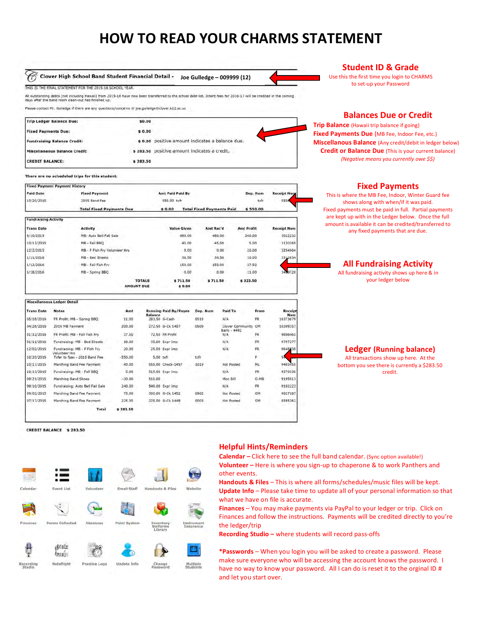## **HOW TO READ YOUR CHARMS STATEMENT**



Please contact Mr. Guiledge if there are any questions/concerns @ joe.guiledge@clover.k12.sc.us

| <b>Trip Ledger Balance Due:</b>      | \$0.00   |                                                  |
|--------------------------------------|----------|--------------------------------------------------|
| <b>Fixed Payments Due:</b>           | \$0.00   |                                                  |
| <b>Fundraising Balance Credit:</b>   |          | \$ 0.00 positive amount indicates a balance due. |
| <b>Miscellaneous Balance Credit:</b> |          | \$283.50 positive amount indicates a credit.     |
| <b>CREDIT BALANCE:</b>               | \$283.50 |                                                  |

#### There are no scheduled trips for this student.

| <b>Paid Date</b>            | <b>Fixed Payment</b>                           |                   |                | <b>Amt Paid Paid By</b>      |                                  |                    |                   | Dep. Num | <b>Receipt Num</b>                                                                                                             |
|-----------------------------|------------------------------------------------|-------------------|----------------|------------------------------|----------------------------------|--------------------|-------------------|----------|--------------------------------------------------------------------------------------------------------------------------------|
| 10/20/2015                  | 2015 Band Fee                                  |                   |                | 550.00 txfr                  |                                  |                    |                   | txfr     | 5556                                                                                                                           |
|                             | <b>Total Fixed Payments Due</b>                |                   |                | \$0.00                       | <b>Total Fixed Payments Paid</b> |                    |                   | \$550.00 |                                                                                                                                |
| <b>Fundraising Activity</b> |                                                |                   |                |                              |                                  |                    |                   |          |                                                                                                                                |
| <b>Trans Date</b>           | <b>Activity</b>                                |                   |                | Value Given                  | Amt Rec'd                        |                    | <b>Amt Profit</b> |          | <b>Receipt Num</b>                                                                                                             |
| 9/10/2015                   | MB- Auto Bell Fall Sale                        |                   |                | 480.00                       |                                  | 480.00             | 240.00            |          | 3022232                                                                                                                        |
| 10/13/2015                  | MB - Fall BBO                                  |                   |                | 45.00                        |                                  | 45.00              | 5.00              |          | 3130269                                                                                                                        |
| 12/2/2015                   | MB - F Fish Fry Volunteer Hrs                  |                   |                | 0.00                         |                                  | 0.00               | 20.00             |          | 3254964                                                                                                                        |
| 1/11/2016                   | MB - Bed Sheets                                |                   |                | 36.50                        |                                  | 36.50              | 10.00             |          | 3312634                                                                                                                        |
| 1/12/2016                   | MB - Fall Fish Fry                             |                   |                | 150.00                       |                                  | 150.00             | 37.50             |          |                                                                                                                                |
| 5/18/2016                   | MB - Spring BBQ                                |                   |                | 0.00                         |                                  | 0.00               | 11.00             |          | 3469728                                                                                                                        |
|                             |                                                | <b>AMOUNT DUE</b> | <b>TOTALS</b>  | \$711.50<br>\$0.00           | \$711.50                         |                    | \$323.50          |          |                                                                                                                                |
|                             | <b>Miscellaneous Ledger Detail</b>             |                   |                |                              |                                  |                    |                   |          |                                                                                                                                |
| <b>Trans Date</b>           | <b>Notes</b>                                   | Amt               |                | <b>Running Paid By/Payee</b> | Dep. Num                         | Paid To            |                   | From     |                                                                                                                                |
| 05/18/2016                  | FR Profit; MB - Spring BBQ                     | 11.00             | <b>Balance</b> | 283.50 G-Cash                | 0518                             | N/A                |                   | FR.      |                                                                                                                                |
| 04/26/2016                  | 2016 MB Payment                                | 200.00            |                | 272.50 G-Ck 1407             | 0509                             | Clover Community   |                   | GM       |                                                                                                                                |
| 01/12/2016                  | FR Profit: MB - Fall Fish Fry                  | 37.50             |                | 72.50 FR Profit              |                                  | Bank - 4492<br>N/A |                   | FR.      |                                                                                                                                |
| 01/11/2016                  | Fundraising: MB - Bed Sheets                   | 10.00             |                | 35.00 Expr Imp               |                                  | N/A                |                   | FR.      |                                                                                                                                |
| 12/02/2015                  | Fundraising: MB - F Fish Fry                   | 20.00             |                | 25.00 Expr Imp               |                                  | N/A                |                   | FR.      |                                                                                                                                |
| 10/20/2015                  | Volunteer Hrs<br>Txfer to fpas - 2015 Band Fee | $-550.00$         | 5.00 txfr      |                              | txfr                             |                    |                   | F.       | 94                                                                                                                             |
| 10/17/2015                  | Marching Band Fee Payment                      | 40.00             |                | 555.00 Check-1457            | 1019                             | Not Posted         |                   | ML       |                                                                                                                                |
| 10/13/2015                  | Fundraising: MB - Fall BBQ                     | 5.00              |                | 515.00 Expr Imp              |                                  | N/A                |                   | FR.      |                                                                                                                                |
| 09/21/2015                  | Marching Band Shoes                            | $-30.00$          | 510.00         |                              |                                  | Misc Bill          |                   | G-MB     |                                                                                                                                |
| 09/10/2015                  | Fundraising: Auto Bell Fall Sale               | 240.00            |                | 540.00 Expr Imp              |                                  | N/A                |                   | FR.      |                                                                                                                                |
| 09/02/2015                  | Marching Band Fee Payment                      | 75.00             |                | 300.00 G-Ck 1452             | 0902                             | Not Posted         |                   | GM       | Receipt<br>Num<br>10373679<br>10309357<br>9806461<br>9797277<br>9648538<br>9403455<br>9370130<br>9195913<br>9102223<br>9027187 |

#### **Student ID & Grade**

Use this the first time you login to CHARMS to set-up your Password

#### **Balances Due or Credit**

**Trip Balance** (Hawaii trip balance if going) **Fixed Payments Due** (MB Fee, Indoor Fee, etc.) **Miscellanous Balance** (Any credit/debit in ledger below) **Credit or Balance Due** (This is your current balance) *(Negative means you currently owe \$\$)*

#### **Fixed Payments**

This is where the MB Fee, Indoor, Winter Guard fee shows along with when/if it was paid. Fixed payments must be paid in full. Partial payments are kept up with in the Ledger below. Once the full amount is available it can be credited/transferred to any fixed payments that are due.

#### **All Fundraising Activity**

All fundraising activity shows up here  $\&$  in your ledger below

**Ledger (Running balance)** All transactions show up here. At the bottom you see there is currently a \$283.50 credit. 

CREDIT BALANCE \$283.50



Total

\$283.50

#### **Helpful Hints/Reminders**

**Calendar** – Click here to see the full band calendar. (Sync option available!) **Volunteer** – Here is where you sign-up to chaperone & to work Panthers and other events.

**Handouts & Files** – This is where all forms/schedules/music files will be kept. **Update Info** – Please take time to update all of your personal information so that what we have on file is accurate.

**Finances** – You may make payments via PayPal to your ledger or trip. Click on Finances and follow the instructions. Payments will be credited directly to you're the ledger/trip

**Recording Studio** – where students will record pass-offs

\*Passwords – When you login you will be asked to create a password. Please make sure everyone who will be accessing the account knows the password. I have no way to know your password. All I can do is reset it to the orginal ID  $#$ and let you start over.